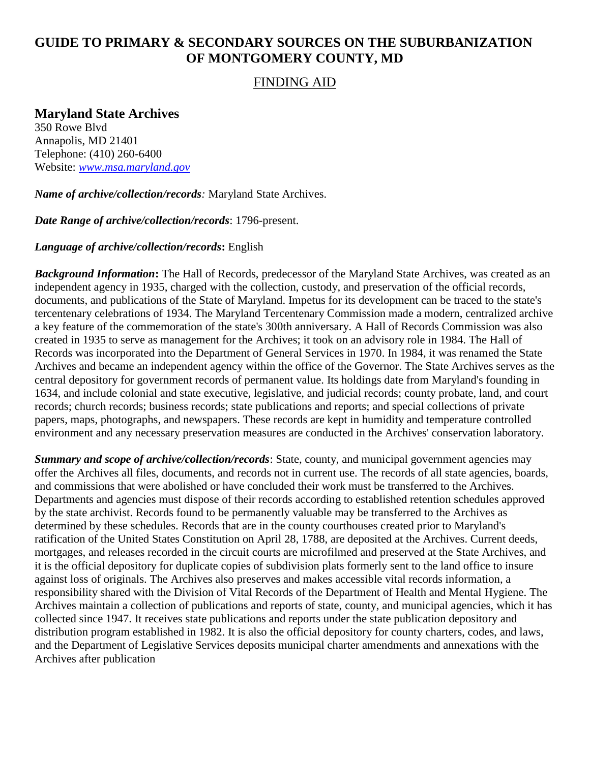## **GUIDE TO PRIMARY & SECONDARY SOURCES ON THE SUBURBANIZATION OF MONTGOMERY COUNTY, MD**

## FINDING AID

## **Maryland State Archives**

350 Rowe Blvd Annapolis, MD 21401 Telephone: (410) 260-6400 Website: *[www.msa.maryland.gov](http://www.msa.maryland.gov/)*

*Name of archive/collection/records:* Maryland State Archives.

*Date Range of archive/collection/records*: 1796-present.

## *Language of archive/collection/records***:** English

*Background Information***:** The Hall of Records, predecessor of the Maryland State Archives, was created as an independent agency in 1935, charged with the collection, custody, and preservation of the official records, documents, and publications of the State of Maryland. Impetus for its development can be traced to the state's tercentenary celebrations of 1934. The Maryland Tercentenary Commission made a modern, centralized archive a key feature of the commemoration of the state's 300th anniversary. A Hall of Records Commission was also created in 1935 to serve as management for the Archives; it took on an advisory role in 1984. The Hall of Records was incorporated into the Department of General Services in 1970. In 1984, it was renamed the State Archives and became an independent agency within the office of the Governor. The State Archives serves as the central depository for government records of permanent value. Its holdings date from Maryland's founding in 1634, and include colonial and state executive, legislative, and judicial records; county probate, land, and court records; church records; business records; state publications and reports; and special collections of private papers, maps, photographs, and newspapers. These records are kept in humidity and temperature controlled environment and any necessary preservation measures are conducted in the Archives' conservation laboratory.

*Summary and scope of archive/collection/records*: State, county, and municipal government agencies may offer the Archives all files, documents, and records not in current use. The records of all state agencies, boards, and commissions that were abolished or have concluded their work must be transferred to the Archives. Departments and agencies must dispose of their records according to established retention schedules approved by the state archivist. Records found to be permanently valuable may be transferred to the Archives as determined by these schedules. Records that are in the county courthouses created prior to Maryland's ratification of the United States Constitution on April 28, 1788, are deposited at the Archives. Current deeds, mortgages, and releases recorded in the circuit courts are microfilmed and preserved at the State Archives, and it is the official depository for duplicate copies of subdivision plats formerly sent to the land office to insure against loss of originals. The Archives also preserves and makes accessible vital records information, a responsibility shared with the Division of Vital Records of the Department of Health and Mental Hygiene. The Archives maintain a collection of publications and reports of state, county, and municipal agencies, which it has collected since 1947. It receives state publications and reports under the state publication depository and distribution program established in 1982. It is also the official depository for county charters, codes, and laws, and the Department of Legislative Services deposits municipal charter amendments and annexations with the Archives after publication